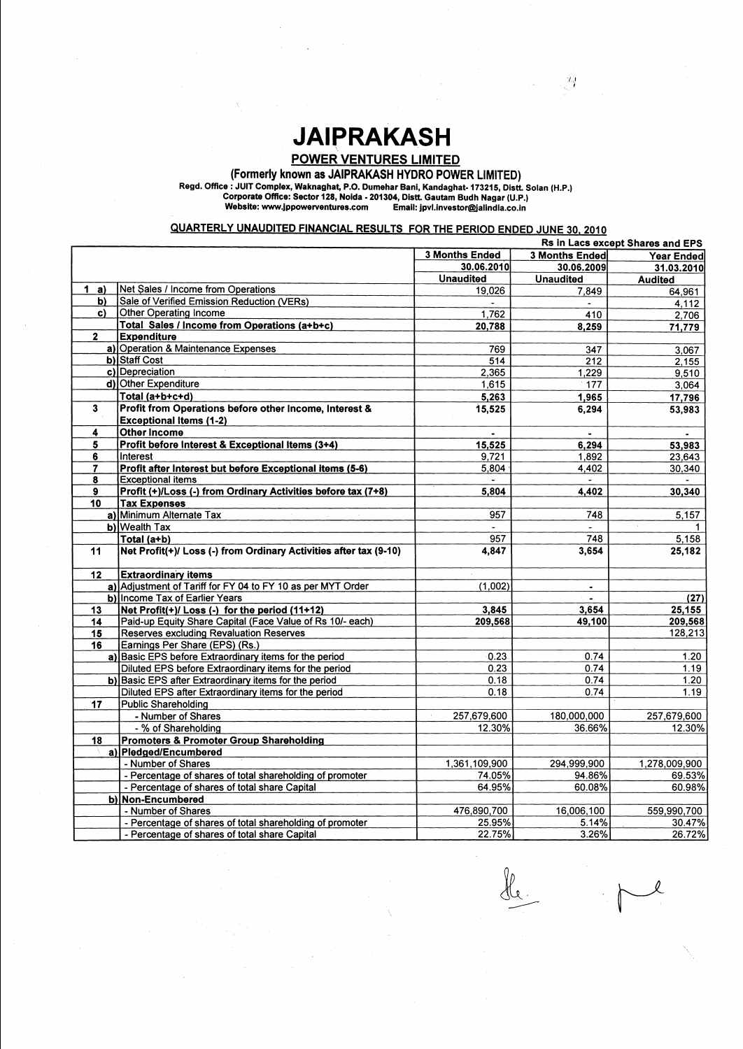## **JAIPRAKASH**

POWER VENTURES LIMITED

**Regd. Office** : JUlT **Complex, Waknaghat,** P.O. **Dumehar Bani, Kandaghat-** 173215, **Distt. Solan** (H.P.) **Corporate Office: Sector** 128, **Noida** - 201304, **DistL Gautam Budh Nagar** (U.P.) **Email: jpvl.investor@jalindia.co.in** 

## QUARTERLY UNAUDITED FINANCIAL RESULTS FOR THE PERIOD ENDED JUNE 30, 2010

(Formerly known as JAIPRAKASH HYDRO POWER LIMITED)

|                  |                                                                   | Rs in Lacs except Shares and EPS |                        |                |
|------------------|-------------------------------------------------------------------|----------------------------------|------------------------|----------------|
|                  |                                                                   | <b>3 Months Ended</b>            | 3 Months Ended         | Year Ended     |
|                  |                                                                   | 30.06.2010                       | 30.06.2009             | 31.03.2010     |
|                  |                                                                   | <b>Unaudited</b>                 | <b>Unaudited</b>       | <b>Audited</b> |
| 1<br>a)          | Net Sales / Income from Operations                                | 19,026                           | 7,849                  | 64,961         |
| b)               | Sale of Verified Emission Reduction (VERs)                        |                                  |                        | 4,112          |
| $\mathbf{c}$     | <b>Other Operating Income</b>                                     | 1,762                            | 410                    | 2,706          |
|                  | Total Sales / Income from Operations (a+b+c)                      | 20,788                           | 8,259                  | 71,779         |
| $\mathbf{2}$     | <b>Expenditure</b>                                                |                                  |                        |                |
|                  | a) Operation & Maintenance Expenses                               | 769                              | 347                    | 3,067          |
|                  | b) Staff Cost                                                     | 514                              | 212                    | 2,155          |
|                  | c) Depreciation                                                   | 2,365                            | 1,229                  | 9,510          |
|                  | d) Other Expenditure                                              | 1,615                            | 177                    | 3,064          |
|                  | Total (a+b+c+d)                                                   | 5,263                            | 1,965                  | 17,796         |
| 3                | Profit from Operations before other Income, Interest &            | 15,525                           | 6,294                  | 53,983         |
|                  | <b>Exceptional Items (1-2)</b>                                    |                                  |                        |                |
| 4                | <b>Other Income</b>                                               |                                  |                        |                |
| 5                | Profit before Interest & Exceptional Items (3+4)                  | 15.525                           | 6,294                  | 53,983         |
| 6                | Interest                                                          | 9,721                            | 1,892                  | 23,643         |
| 7                | Profit after Interest but before Exceptional items (5-6)          | 5,804                            | 4,402                  | 30,340         |
| 8                | <b>Exceptional items</b>                                          |                                  |                        |                |
| $\boldsymbol{9}$ | Profit (+)/Loss (-) from Ordinary Activities before tax (7+8)     | 5,804                            | 4,402                  | 30,340         |
| 10               | <b>Tax Expenses</b>                                               |                                  |                        |                |
|                  | a) Minimum Alternate Tax                                          | 957                              | 748                    | 5,157          |
|                  | b) Wealth Tax                                                     |                                  |                        |                |
|                  | Total (a+b)                                                       | 957                              | 748                    | 5,158          |
| 11               | Net Profit(+)/ Loss (-) from Ordinary Activities after tax (9-10) | 4,847                            | 3,654                  | 25,182         |
|                  |                                                                   |                                  |                        |                |
| 12               | <b>Extraordinary items</b>                                        |                                  |                        |                |
|                  | a) Adjustment of Tariff for FY 04 to FY 10 as per MYT Order       | (1,002)                          |                        |                |
|                  | <b>b)</b> Income Tax of Earlier Years                             |                                  | $\bullet$<br>$\bullet$ | (27)           |
| 13               | Net Profit(+)/ Loss (-) for the period (11+12)                    | 3,845                            | 3,654                  | 25,155         |
| 14               | Paid-up Equity Share Capital (Face Value of Rs 10/- each)         | 209,568                          | 49,100                 | 209,568        |
| 15               | <b>Reserves excluding Revaluation Reserves</b>                    |                                  |                        | 128,213        |
| 16               | Earnings Per Share (EPS) (Rs.)                                    |                                  |                        |                |
|                  | a) Basic EPS before Extraordinary items for the period            | 0.23                             | 0.74                   | 1.20           |
|                  | Diluted EPS before Extraordinary items for the period             | 0.23                             | 0.74                   | 1.19           |
|                  | b) Basic EPS after Extraordinary items for the period             | 0.18                             | 0.74                   | 1.20           |
|                  | Diluted EPS after Extraordinary items for the period              | 0.18                             | 0.74                   | 1.19           |
|                  | <b>Public Shareholding</b>                                        |                                  |                        |                |
| 17               | - Number of Shares                                                | 257,679,600                      | 180,000,000            |                |
|                  |                                                                   |                                  |                        | 257,679,600    |
|                  | - % of Shareholding                                               | 12.30%                           | 36.66%                 | 12.30%         |
| 18               | <b>Promoters &amp; Promoter Group Shareholding</b>                |                                  |                        |                |
|                  | a) Pledged/Encumbered                                             |                                  |                        |                |
|                  | - Number of Shares                                                | 1,361,109,900                    | 294,999,900            | 1,278,009,900  |
|                  | - Percentage of shares of total shareholding of promoter          | 74.05%                           | 94.86%                 | 69.53%         |
|                  | - Percentage of shares of total share Capital                     | 64.95%                           | 60.08%                 | 60.98%         |
|                  | b) Non-Encumbered                                                 |                                  |                        |                |
|                  | - Number of Shares                                                | 476,890,700                      | 16,006,100             | 559,990,700    |
|                  | - Percentage of shares of total shareholding of promoter          | 25.95%                           | 5.14%                  | 30.47%         |
|                  | - Percentage of shares of total share Capital                     | 22.75%                           | 3.26%                  | 26.72%         |

-<br>Sle. 

 $\mathcal{F}_{\mathcal{G}}$